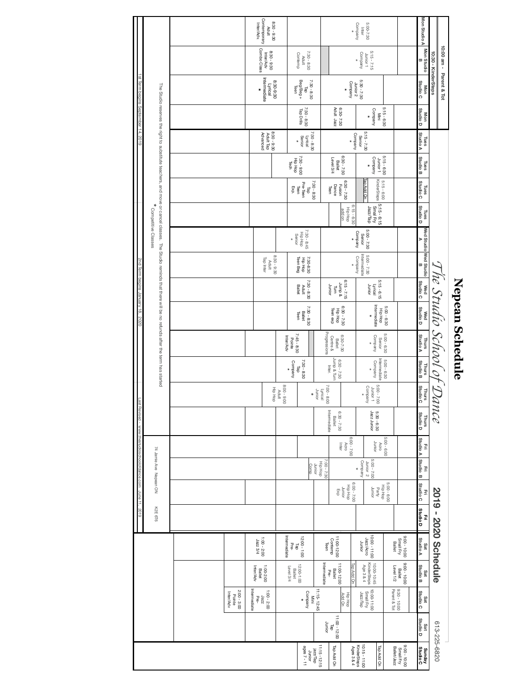## Nepean Schedule **Nepean Schedule**

|                                                          |                     |                                     |                                                       |                                        |                      |                                  | Revised - www.thestudioschoolofdance.com June 11, 2019 |                                |                                         | last                                      |                                          |                                 |                                      | 2nd Term begins January 18, 2020              |                                          |                                       |                                                                                                                                                                    |                                          |                                      | 1st Term begins September 14, 2019    |                           |                                                |                                      |                                    |
|----------------------------------------------------------|---------------------|-------------------------------------|-------------------------------------------------------|----------------------------------------|----------------------|----------------------------------|--------------------------------------------------------|--------------------------------|-----------------------------------------|-------------------------------------------|------------------------------------------|---------------------------------|--------------------------------------|-----------------------------------------------|------------------------------------------|---------------------------------------|--------------------------------------------------------------------------------------------------------------------------------------------------------------------|------------------------------------------|--------------------------------------|---------------------------------------|---------------------------|------------------------------------------------|--------------------------------------|------------------------------------|
|                                                          |                     |                                     |                                                       |                                        | K2E 6T6              |                                  | 74 Jamie Ave Nepean ON                                 |                                |                                         |                                           |                                          |                                 |                                      |                                               |                                          | Competitive Classes                   | The Studio reserves the right to substitute teachers, and move or cancel classes. The Studio reminds that there will be no refunds after the term has started<br>* |                                          |                                      |                                       |                           |                                                |                                      |                                    |
|                                                          |                     |                                     |                                                       |                                        |                      |                                  |                                                        |                                |                                         |                                           |                                          |                                 |                                      |                                               |                                          |                                       |                                                                                                                                                                    |                                          |                                      |                                       |                           |                                                |                                      |                                    |
|                                                          |                     | 2:00 - 3:00<br>Inter/Adv<br>Pointe  |                                                       |                                        |                      |                                  |                                                        |                                |                                         |                                           |                                          |                                 |                                      |                                               |                                          |                                       |                                                                                                                                                                    |                                          |                                      |                                       |                           |                                                |                                      |                                    |
|                                                          |                     | Intermediate<br>Pæ-<br>zzep         | 1:00-2:00<br>Ballet<br>Inter/Adv                      | $1:00 - 2:00$<br>1222 3/4              |                      |                                  |                                                        |                                |                                         |                                           |                                          |                                 |                                      |                                               | Tap Inter                                |                                       |                                                                                                                                                                    |                                          |                                      | Advanced                              |                           | Intermediate<br>*                              | Combo Class                          | Contemporary<br>Inter/Adv.         |
|                                                          |                     | $1:00 - 2:00$                       |                                                       |                                        |                      |                                  |                                                        |                                |                                         | Hip Hop                                   |                                          |                                 |                                      |                                               | $8:30 - 9:30$<br>Adult                   |                                       |                                                                                                                                                                    |                                          |                                      | $8:30 - 9:30$<br>Adult Tap            |                           | 8:30-9:30<br>Lyrical                           | 8:30 - 9:30<br>Inter/Adv             | 8:30 - 9:30<br>Adult               |
|                                                          |                     |                                     | Level 3/4<br>Ballet                                   | Intermediate<br>Pre-                   |                      |                                  |                                                        |                                |                                         | $8:00 - 9:00$<br>Adult                    | Company<br>Vine                          | Inter/Adv<br>Pointe             |                                      |                                               |                                          | ×                                     |                                                                                                                                                                    | Exp.                                     | Tech                                 |                                       |                           |                                                |                                      |                                    |
| $11 - 2$ sage<br>jazzTap<br>Junior                       |                     | Company<br>$\sum_{i=1}^{n}$<br>×    | 12:00-1:00                                            | $12:00 - 1:00$<br>del                  |                      |                                  | Comp                                                   |                                |                                         | *                                         | 7:30 - 8:30<br>e                         | $7:45 - 8:30$                   | 7:30 - 8:30<br>Ballet<br>Teen        | 7:30 - 8:30<br>Ballet<br>Adult                | Hip Hop<br>Teen Beg<br>7:30-8:30         | $7:30 - 8:45$<br>Hip Hop<br>Senior    |                                                                                                                                                                    | 7:30 - 8:30<br>Pre-Teen<br>Teen<br>æ     | $7:30 - 9:00$<br>Hip Hop             | 7:30 - 8:30<br>Senior<br>Lyrical<br>× | 7:30 - 8:30<br>Tap Drills | 7:30 - 8:30<br>Beg/Beg +<br>Teen<br>de L       | $7:30 - 8:30$<br>Contemp<br>Adult    |                                    |
| 11:15-12:15                                              | Junior              | 11:15-12:45                         | Intermediate                                          | Teen                                   |                      |                                  | $00 - 7.30$<br>Hip Hop<br>Junior                       |                                |                                         | $7:00 - 8:00$<br>Junior<br>Lyrical        |                                          | Progressions                    |                                      |                                               |                                          |                                       |                                                                                                                                                                    |                                          |                                      |                                       |                           |                                                |                                      |                                    |
| Tap Add On                                               | 11:00 - 12:00<br>de | Hip Hop<br>Add On                   | 11:00-12:00<br>Ballet<br>Pre-                         | 11:00-12:00<br>Contemp                 |                      | HipHop<br>Junior<br>Exp          |                                                        | $0.00 - 7:00$<br>Acro<br>Inter | Intermediate<br>$6:30 - 7:30$<br>Ballet |                                           | I Jump & Turn<br>$6:30 - 7:30$<br>Inter. | 6:30-7:30<br>Centre &<br>Ballet | $6:30 - 7:30$<br>Teen exp<br>Hip Hop | $6:15 - 7:15$<br>Jump &<br>Junior<br>i<br>Fil |                                          |                                       | Hip Hop<br>add on                                                                                                                                                  | $6:30 - 7:30$<br>Fusion<br>Dance<br>Teen | $6:30 - 7:30$<br>Level 3/4<br>Ballet | ×                                     | Adult Jazz<br>6:30-7:30   | Company<br>×                                   |                                      |                                    |
| 10:15 - 11:00<br>KinderSteps<br>Ages 3 & 4<br>Tap Add On |                     | 00:11:00:01<br>Small Fry<br>de_/zep | KinderSteps<br>Age 3 & 4<br>10:00-10:45<br>Tap Add On | $10:00 - 11:00$<br>Jazz/Acro<br>Junior |                      | $6:00 - 7:00$<br>Junior<br>Party | 5:00 - 7:00<br>Company<br>×                            | Junior<br>Acro                 | Jazz Junior<br>5:30 - 6:30              | $5:00 - 7:00$<br>Company<br>Junior 1<br>× | Intermediate<br>Company                  | Company<br>Senior<br>×          | Intermediate<br>공주<br>*              | $5:15 - 6:15$<br>Junior<br>Lyrical            | Intermediate<br>$5:00 - 7:30$<br>Company | 5:00 - 7:30<br>Company<br>Senior<br>× | 5:15 - 6:15<br>Smal Fry<br>$6:15 - 6:30$<br>de <u>rva</u> c                                                                                                        | KinderSteps<br><b>Fap Add On</b>         | Company<br>Junior 1<br>*             | 5:15 - 7:30<br>Company<br>Senior      | Company<br>Nini           | $5:30 - 7:30$<br>Junior 2                      | $5:15 - 7:15$<br>Company<br>Junior 1 | 5:00-7:30<br>Company<br>Inter<br>× |
| 9:00 - 10:00<br>Small Fry<br>Ballet/Jazz                 |                     | 9:30 - 10:00<br>Parent & Tot        | 00:01 - 00:6<br>Level 1/2<br>Ballet                   | 00:01 - 00:6<br>Small Fry<br>Ballet    |                      | Hip Hop<br>Hip Hop               |                                                        | $6.00 - 6.00$                  |                                         |                                           | $5:00 - 6:30$                            | 5:00 - 6:30                     | 5:00 - 6:30                          |                                               |                                          |                                       |                                                                                                                                                                    | $5:15 - 6:00$                            | $5:15 - 6:30$                        |                                       | $5:15 - 6:30$             |                                                |                                      |                                    |
|                                                          | Studio D            | <b>Studio C</b>                     | <b>Studio B</b>                                       |                                        | <b>Studio D</b>      | <b>Studio C</b>                  |                                                        |                                |                                         | <b>Studio C</b>                           |                                          |                                 |                                      |                                               | ω                                        | Þ                                     |                                                                                                                                                                    |                                          | <b>Studio B</b>                      | Studio A                              | <b>Studio D</b>           | <b>Studio C</b>                                | œ                                    |                                    |
| Sunday<br>Studio C                                       | Sat                 | Sat                                 | Sat                                                   | Sat<br>Studio A                        | E                    | $\Xi$                            | Fri<br>Studio A Studio B                               |                                | Thurs<br>Studio D                       | Thurs                                     | Thurs<br>Studio B                        | Thurs<br>Studio A               | Wed<br>Studio D                      | Wed<br>Studio C                               | Wed Studio Wed Studio                    |                                       | Tues<br>Studio D                                                                                                                                                   | Tues<br>Studio C                         | Tues                                 | Tues                                  | Mon                       | Mon                                            | Mon Studio                           | Mon Studio A                       |
|                                                          | 613-225-6820        |                                     |                                                       |                                        | 2019 - 2020 Schedule |                                  |                                                        |                                | nce                                     | z'                                        |                                          |                                 | The Studio School of 2               |                                               |                                          |                                       |                                                                                                                                                                    |                                          |                                      |                                       |                           | 10:00 am - Parent & Tot<br>10:30 - KinderSteps |                                      |                                    |
|                                                          |                     |                                     |                                                       |                                        |                      |                                  |                                                        |                                |                                         |                                           |                                          |                                 |                                      |                                               |                                          |                                       |                                                                                                                                                                    |                                          |                                      |                                       |                           |                                                |                                      |                                    |